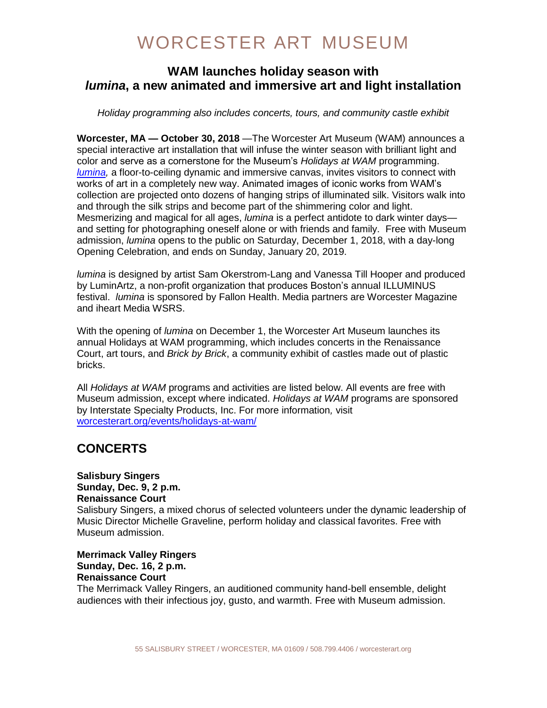### **WAM launches holiday season with**  *lumina***, a new animated and immersive art and light installation**

*Holiday programming also includes concerts, tours, and community castle exhibit*

**Worcester, MA — October 30, 2018** —The Worcester Art Museum (WAM) announces a special interactive art installation that will infuse the winter season with brilliant light and color and serve as a cornerstone for the Museum's *Holidays at WAM* programming. *[lumina,](https://www.worcesterart.org/exhibitions/lumina/)* a floor-to-ceiling dynamic and immersive canvas, invites visitors to connect with works of art in a completely new way. Animated images of iconic works from WAM's collection are projected onto dozens of hanging strips of illuminated silk. Visitors walk into and through the silk strips and become part of the shimmering color and light. Mesmerizing and magical for all ages, *lumina* is a perfect antidote to dark winter days and setting for photographing oneself alone or with friends and family. Free with Museum admission, *lumina* opens to the public on Saturday, December 1, 2018, with a day-long Opening Celebration, and ends on Sunday, January 20, 2019.

*lumina* is designed by artist Sam Okerstrom-Lang and Vanessa Till Hooper and produced by LuminArtz, a non-profit organization that produces Boston's annual ILLUMINUS festival. *lumina* is sponsored by Fallon Health. Media partners are Worcester Magazine and iheart Media WSRS.

With the opening of *lumina* on December 1, the Worcester Art Museum launches its annual Holidays at WAM programming, which includes concerts in the Renaissance Court, art tours, and *Brick by Brick*, a community exhibit of castles made out of plastic bricks.

All *Holidays at WAM* programs and activities are listed below. All events are free with Museum admission, except where indicated. *Holidays at WAM* programs are sponsored by Interstate Specialty Products, Inc. For more information*,* visit [worcesterart.org/events/holidays-at-wam/](http://www.worcesterart.org/events/holidays-at-wam/)

## **CONCERTS**

## **Salisbury Singers Sunday, Dec. 9, 2 p.m. Renaissance Court**

Salisbury Singers, a mixed chorus of selected volunteers under the dynamic leadership of Music Director Michelle Graveline, perform holiday and classical favorites. Free with Museum admission.

**Merrimack Valley Ringers Sunday, Dec. 16, 2 p.m. Renaissance Court** 

The Merrimack Valley Ringers, an auditioned community hand-bell ensemble, delight audiences with their infectious joy, gusto, and warmth. Free with Museum admission.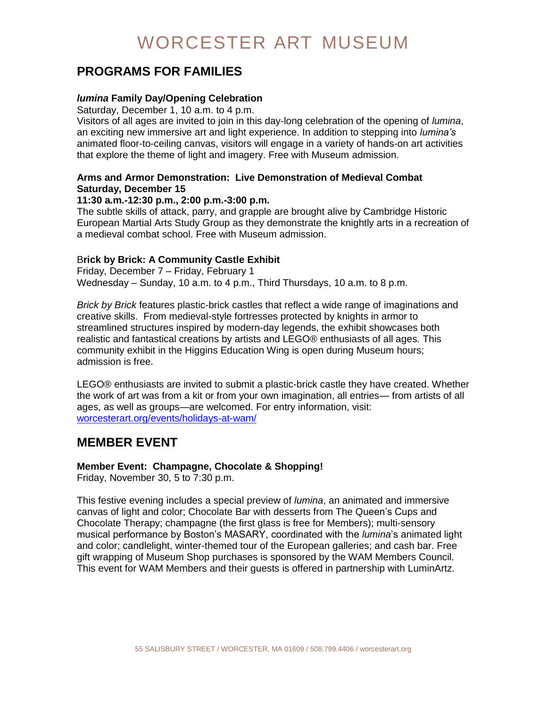### **PROGRAMS FOR FAMILIES**

#### *lumina* **Family Day/Opening Celebration**

Saturday, December 1, 10 a.m. to 4 p.m.

Visitors of all ages are invited to join in this day-long celebration of the opening of *lumina*, an exciting new immersive art and light experience. In addition to stepping into *lumina's*  animated floor-to-ceiling canvas, visitors will engage in a variety of hands-on art activities that explore the theme of light and imagery. Free with Museum admission.

#### **Arms and Armor Demonstration: Live Demonstration of Medieval Combat Saturday, December 15**

#### **11:30 a.m.-12:30 p.m., 2:00 p.m.-3:00 p.m.**

The subtle skills of attack, parry, and grapple are brought alive by Cambridge Historic European Martial Arts Study Group as they demonstrate the knightly arts in a recreation of a medieval combat school. Free with Museum admission.

#### B**rick by Brick: A Community Castle Exhibit**

Friday, December 7 – Friday, February 1 Wednesday – Sunday, 10 a.m. to 4 p.m., Third Thursdays, 10 a.m. to 8 p.m.

*Brick by Brick* features plastic-brick castles that reflect a wide range of imaginations and creative skills. From medieval-style fortresses protected by knights in armor to streamlined structures inspired by modern-day legends, the exhibit showcases both realistic and fantastical creations by artists and LEGO® enthusiasts of all ages. This community exhibit in the Higgins Education Wing is open during Museum hours; admission is free.

LEGO® enthusiasts are invited to submit a plastic-brick castle they have created. Whether the work of art was from a kit or from your own imagination, all entries— from artists of all ages, as well as groups—are welcomed. For entry information, visit: [worcesterart.org/events/holidays-at-wam/](https://www.worcesterart.org/events/holidays-at-wam/)

### **MEMBER EVENT**

#### **Member Event: Champagne, Chocolate & Shopping!**

Friday, November 30, 5 to 7:30 p.m.

This festive evening includes a special preview of *lumina*, an animated and immersive canvas of light and color; Chocolate Bar with desserts from The Queen's Cups and Chocolate Therapy; champagne (the first glass is free for Members); multi-sensory musical performance by Boston's MASARY, coordinated with the *lumina*'s animated light and color; candlelight, winter-themed tour of the European galleries; and cash bar. Free gift wrapping of Museum Shop purchases is sponsored by the WAM Members Council. This event for WAM Members and their guests is offered in partnership with LuminArtz.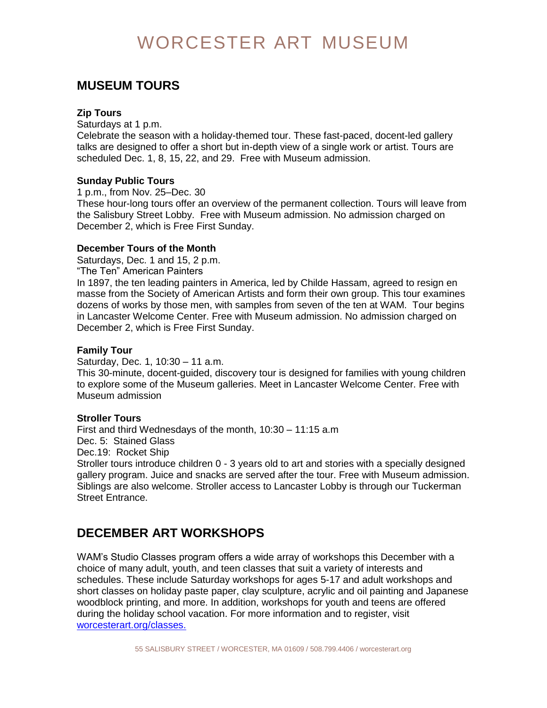## **MUSEUM TOURS**

#### **Zip Tours**

Saturdays at 1 p.m.

Celebrate the season with a holiday-themed tour. These fast-paced, docent-led gallery talks are designed to offer a short but in-depth view of a single work or artist. Tours are scheduled Dec. 1, 8, 15, 22, and 29. Free with Museum admission.

#### **Sunday Public Tours**

1 p.m., from Nov. 25–Dec. 30

These hour-long tours offer an overview of the permanent collection. Tours will leave from the Salisbury Street Lobby. Free with Museum admission. No admission charged on December 2, which is Free First Sunday.

#### **December Tours of the Month**

Saturdays, Dec. 1 and 15, 2 p.m.

"The Ten" American Painters

In 1897, the ten leading painters in America, led by Childe Hassam, agreed to resign en masse from the Society of American Artists and form their own group. This tour examines dozens of works by those men, with samples from seven of the ten at WAM. Tour begins in Lancaster Welcome Center. Free with Museum admission. No admission charged on December 2, which is Free First Sunday.

#### **Family Tour**

Saturday, Dec. 1, 10:30 – 11 a.m.

This 30-minute, docent-guided, discovery tour is designed for families with young children to explore some of the Museum galleries. Meet in Lancaster Welcome Center. Free with Museum admission

#### **Stroller Tours**

First and third Wednesdays of the month, 10:30 – 11:15 a.m Dec. 5: Stained Glass Dec.19: Rocket Ship Stroller tours introduce children 0 - 3 years old to art and stories with a specially designed gallery program. Juice and snacks are served after the tour. Free with Museum admission. Siblings are also welcome. Stroller access to Lancaster Lobby is through our Tuckerman Street Entrance.

## **DECEMBER ART WORKSHOPS**

WAM's Studio Classes program offers a wide array of workshops this December with a choice of many adult, youth, and teen classes that suit a variety of interests and schedules. These include Saturday workshops for ages 5-17 and adult workshops and short classes on holiday paste paper, clay sculpture, acrylic and oil painting and Japanese woodblock printing, and more. In addition, workshops for youth and teens are offered during the holiday school vacation. For more information and to register, visit [worcesterart.org/classes.](https://portal.worcesterart.org/classes/)